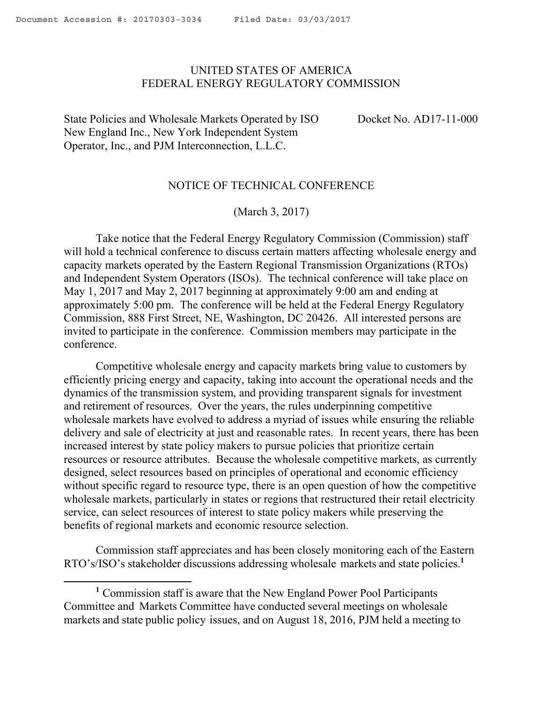l

## <span id="page-0-0"></span>UNITED STATES OF AMERICA FEDERAL ENERGY REGULATORY COMMISSION

State Policies and Wholesale Markets Operated by ISO New England Inc., New York Independent System Operator, Inc., and PJM Interconnection, L.L.C.

Docket No. AD17-11-000

### NOTICE OF TECHNICAL CONFERENCE

(March 3, 2017)

Take notice that the Federal Energy Regulatory Commission (Commission) staff will hold a technical conference to discuss certain matters affecting wholesale energy and capacity markets operated by the Eastern Regional Transmission Organizations (RTOs) and Independent System Operators (ISOs). The technical conference will take place on May 1, 2017 and May 2, 2017 beginning at approximately 9:00 am and ending at approximately 5:00 pm. The conference will be held at the Federal Energy Regulatory Commission, 888 First Street, NE, Washington, DC 20426. All interested persons are invited to participate in the conference. Commission members may participate in the conference.

Competitive wholesale energy and capacity markets bring value to customers by efficiently pricing energy and capacity, taking into account the operational needs and the dynamics of the transmission system, and providing transparent signals for investment and retirement of resources. Over the years, the rules underpinning competitive wholesale markets have evolved to address a myriad of issues while ensuring the reliable delivery and sale of electricity at just and reasonable rates. In recent years, there has been increased interest by state policy makers to pursue policies that prioritize certain resources or resource attributes. Because the wholesale competitive markets, as currently designed, select resources based on principles of operational and economic efficiency without specific regard to resource type, there is an open question of how the competitive wholesale markets, particularly in states or regions that restructured their retail electricity service, can select resources of interest to state policy makers while preserving the benefits of regional markets and economic resource selection.

Commission staff appreciates and has been closely monitoring each of the Eastern RTO's/ISO's stakeholder discussions addressing wholesale markets and state policies.<sup>1</sup>

**<sup>1</sup>** Commission staff is aware that the New England Power Pool Participants Committee and Markets Committee have conducted several meetings on wholesale markets and state public policy issues, and on August 18, 2016, PJM held a meeting to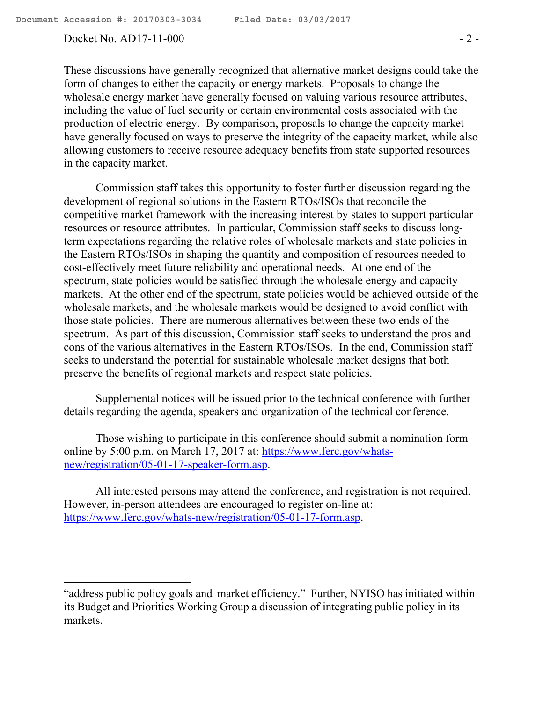$\overline{\phantom{a}}$ 

#### Docket No. AD17-11-000 - 2 -

These discussions have generally recognized that alternative market designs could take the form of changes to either the capacity or energy markets. Proposals to change the wholesale energy market have generally focused on valuing various resource attributes, including the value of fuel security or certain environmental costs associated with the production of electric energy. By comparison, proposals to change the capacity market have generally focused on ways to preserve the integrity of the capacity market, while also allowing customers to receive resource adequacy benefits from state supported resources in the capacity market.

Commission staff takes this opportunity to foster further discussion regarding the development of regional solutions in the Eastern RTOs/ISOs that reconcile the competitive market framework with the increasing interest by states to support particular resources or resource attributes. In particular, Commission staff seeks to discuss longterm expectations regarding the relative roles of wholesale markets and state policies in the Eastern RTOs/ISOs in shaping the quantity and composition of resources needed to cost-effectively meet future reliability and operational needs. At one end of the spectrum, state policies would be satisfied through the wholesale energy and capacity markets. At the other end of the spectrum, state policies would be achieved outside of the wholesale markets, and the wholesale markets would be designed to avoid conflict with those state policies. There are numerous alternatives between these two ends of the spectrum. As part of this discussion, Commission staff seeks to understand the pros and cons of the various alternatives in the Eastern RTOs/ISOs. In the end, Commission staff seeks to understand the potential for sustainable wholesale market designs that both preserve the benefits of regional markets and respect state policies.

Supplemental notices will be issued prior to the technical conference with further details regarding the agenda, speakers and organization of the technical conference.

Those wishing to participate in this conference should submit a nomination form online by 5:00 p.m. on March 17, 2017 at: https://www.ferc.gov/whatsnew/registration/05-01-17-speaker-form.asp.

All interested persons may attend the conference, and registration is not required. However, in-person attendees are encouraged to register on-line at: https://www.ferc.gov/whats-new/registration/05-01-17-form.asp.

<sup>&</sup>quot;address public policy goals and market efficiency." Further, NYISO has initiated within its Budget and Priorities Working Group a discussion of integrating public policy in its markets.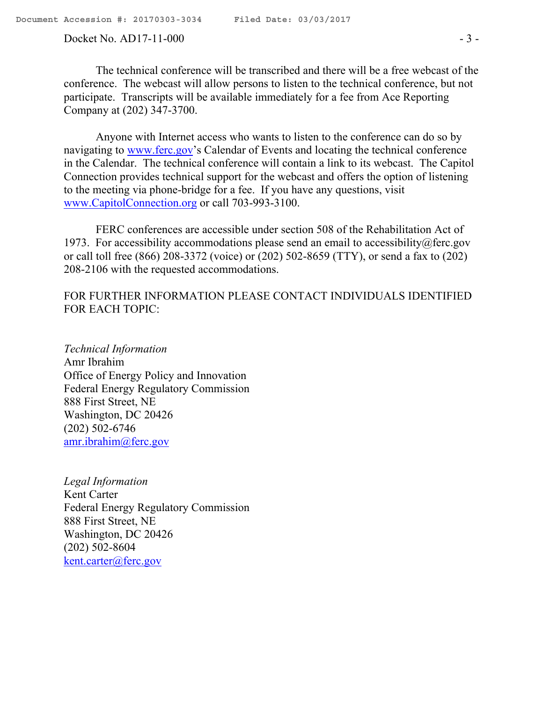#### Docket No. AD17-11-000 - 3 -

The technical conference will be transcribed and there will be a free webcast of the conference. The webcast will allow persons to listen to the technical conference, but not participate. Transcripts will be available immediately for a fee from Ace Reporting Company at (202) 347-3700.

Anyone with Internet access who wants to listen to the conference can do so by navigating to www.ferc.gov's Calendar of Events and locating the technical conference in the Calendar. The technical conference will contain a link to its webcast. The Capitol Connection provides technical support for the webcast and offers the option of listening to the meeting via phone-bridge for a fee. If you have any questions, visit www.CapitolConnection.org or call 703-993-3100.

FERC conferences are accessible under section 508 of the Rehabilitation Act of 1973. For accessibility accommodations please send an email to accessibility@ferc.gov or call toll free (866) 208-3372 (voice) or (202) 502-8659 (TTY), or send a fax to (202) 208-2106 with the requested accommodations.

# FOR FURTHER INFORMATION PLEASE CONTACT INDIVIDUALS IDENTIFIED FOR EACH TOPIC:

*Technical Information* Amr Ibrahim Office of Energy Policy and Innovation Federal Energy Regulatory Commission 888 First Street, NE Washington, DC 20426 (202) 502-6746 amr.ibrahim@ferc.gov

*Legal Information* Kent Carter Federal Energy Regulatory Commission 888 First Street, NE Washington, DC 20426 (202) 502-8604 kent.carter@ferc.gov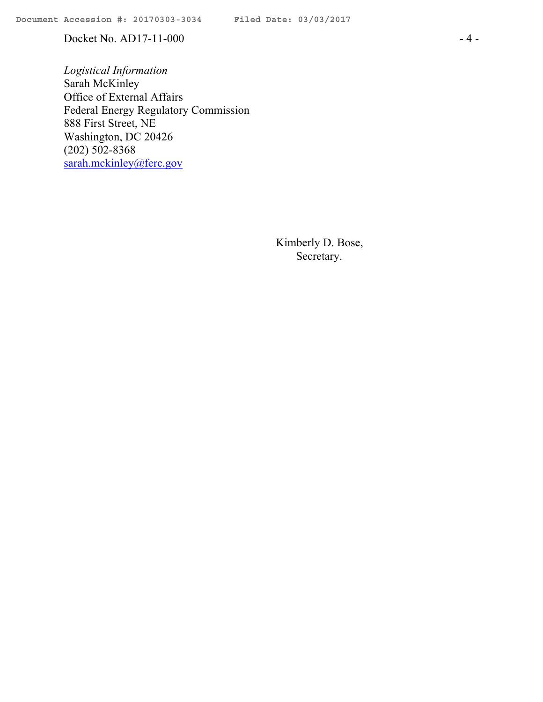Docket No. AD17-11-000 - 4 -

*Logistical Information* Sarah McKinley Office of External Affairs Federal Energy Regulatory Commission 888 First Street, NE Washington, DC 20426 (202) 502-8368 sarah.mckinley@ferc.gov

> Kimberly D. Bose, Secretary.